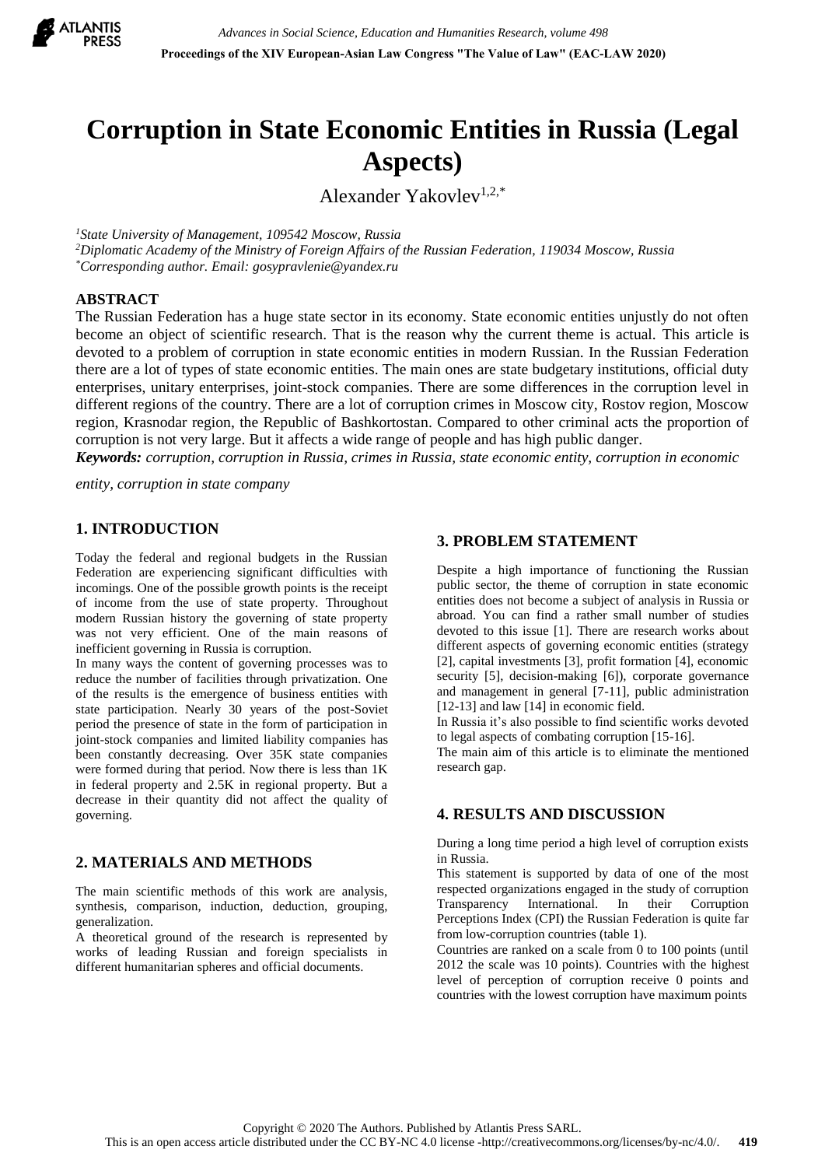

# **Corruption in State Economic Entities in Russia (Legal Aspects)**

Alexander Yakovlev<sup>1,2,\*</sup>

*<sup>1</sup>State University of Management, 109542 Moscow, Russia*

*<sup>2</sup>Diplomatic Academy of the Ministry of Foreign Affairs of the Russian Federation, 119034 Moscow, Russia \*Corresponding author. Email: gosypravlenie@yandex.ru*

#### **ABSTRACT**

The Russian Federation has a huge state sector in its economy. State economic entities unjustly do not often become an object of scientific research. That is the reason why the current theme is actual. This article is devoted to a problem of corruption in state economic entities in modern Russian. In the Russian Federation there are a lot of types of state economic entities. The main ones are state budgetary institutions, official duty enterprises, unitary enterprises, joint-stock companies. There are some differences in the corruption level in different regions of the country. There are a lot of corruption crimes in Moscow city, Rostov region, Moscow region, Krasnodar region, the Republic of Bashkortostan. Compared to other criminal acts the proportion of corruption is not very large. But it affects a wide range of people and has high public danger.

*Keywords: corruption, corruption in Russia, crimes in Russia, state economic entity, corruption in economic*

*entity, corruption in state company*

# **1. INTRODUCTION**

Today the federal and regional budgets in the Russian Federation are experiencing significant difficulties with incomings. One of the possible growth points is the receipt of income from the use of state property. Throughout modern Russian history the governing of state property was not very efficient. One of the main reasons of inefficient governing in Russia is corruption.

In many ways the content of governing processes was to reduce the number of facilities through privatization. One of the results is the emergence of business entities with state participation. Nearly 30 years of the post-Soviet period the presence of state in the form of participation in joint-stock companies and limited liability companies has been constantly decreasing. Over 35K state companies were formed during that period. Now there is less than 1K in federal property and 2.5K in regional property. But a decrease in their quantity did not affect the quality of governing.

# **2. MATERIALS AND METHODS**

The main scientific methods of this work are analysis, synthesis, comparison, induction, deduction, grouping, generalization.

A theoretical ground of the research is represented by works of leading Russian and foreign specialists in different humanitarian spheres and official documents.

#### **3. PROBLEM STATEMENT**

Despite a high importance of functioning the Russian public sector, the theme of corruption in state economic entities does not become a subject of analysis in Russia or abroad. You can find a rather small number of studies devoted to this issue [1]. There are research works about different aspects of governing economic entities (strategy [2], capital investments [3], profit formation [4], economic security [5], decision-making [6]), corporate governance and management in general [7-11], public administration [12-13] and law [14] in economic field.

In Russia it's also possible to find scientific works devoted to legal aspects of combating corruption [15-16].

The main aim of this article is to eliminate the mentioned research gap.

# **4. RESULTS AND DISCUSSION**

During a long time period a high level of corruption exists in Russia.

This statement is supported by data of one of the most respected organizations engaged in the study of corruption Transparency International. In their Corruption Perceptions Index (CPI) the Russian Federation is quite far from low-corruption countries (table 1).

Countries are ranked on a scale from 0 to 100 points (until 2012 the scale was 10 points). Countries with the highest level of perception of corruption receive 0 points and countries with the lowest corruption have maximum points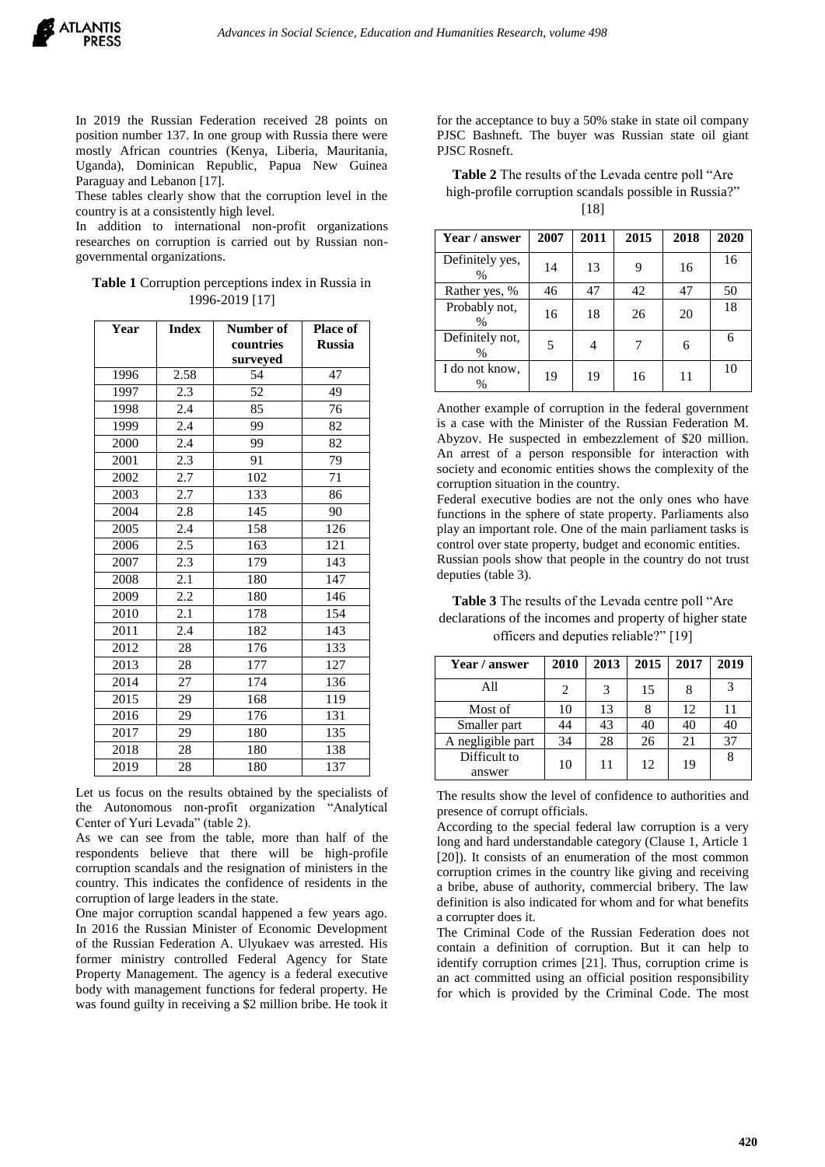In 2019 the Russian Federation received 28 points on position number 137. In one group with Russia there were mostly African countries (Kenya, Liberia, Mauritania, Uganda), Dominican Republic, Papua New Guinea Paraguay and Lebanon [17].

These tables clearly show that the corruption level in the country is at a consistently high level.

In addition to international non-profit organizations researches on corruption is carried out by Russian nongovernmental organizations.

#### **Table 1** Corruption perceptions index in Russia in 1996-2019 [17]

| Year | <b>Index</b> | Number of<br>countries | <b>Place of</b><br><b>Russia</b> |  |
|------|--------------|------------------------|----------------------------------|--|
|      |              | surveyed               |                                  |  |
| 1996 | 2.58         | 54                     | 47                               |  |
| 1997 | 2.3          | 52                     | 49                               |  |
| 1998 | 2.4          | 85                     | 76                               |  |
| 1999 | 2.4          | 99                     | 82                               |  |
| 2000 | 2.4          | 99                     | 82                               |  |
| 2001 | 2.3          | 91                     | 79                               |  |
| 2002 | 2.7          | 102                    | 71                               |  |
| 2003 | 2.7          | 133                    | 86                               |  |
| 2004 | 2.8          | 145                    | 90                               |  |
| 2005 | 2.4          | 158                    | 126                              |  |
| 2006 | 2.5          | 163                    | 121                              |  |
| 2007 | 2.3          | 179                    | 143                              |  |
| 2008 | 2.1          | 180                    | 147                              |  |
| 2009 | 2.2          | 180                    | 146                              |  |
| 2010 | 2.1          | 178                    | 154                              |  |
| 2011 | 2.4          | 182                    | 143                              |  |
| 2012 | 28           | 176                    | 133                              |  |
| 2013 | 28           | 177                    | 127                              |  |
| 2014 | 27           | 174                    | 136                              |  |
| 2015 | 29           | 168                    | 119                              |  |
| 2016 | 29           | 176                    | 131                              |  |
| 2017 | 29           | 180                    | 135                              |  |
| 2018 | 28           | 180                    | 138                              |  |
| 2019 | 28           | 180                    | 137                              |  |

Let us focus on the results obtained by the specialists of the Autonomous non-profit organization "Analytical Center of Yuri Levada" (table 2).

As we can see from the table, more than half of the respondents believe that there will be high-profile corruption scandals and the resignation of ministers in the country. This indicates the confidence of residents in the corruption of large leaders in the state.

One major corruption scandal happened a few years ago. In 2016 the Russian Minister of Economic Development of the Russian Federation A. Ulyukaev was arrested. His former ministry controlled Federal Agency for State Property Management. The agency is a federal executive body with management functions for federal property. He was found guilty in receiving a \$2 million bribe. He took it

for the acceptance to buy a 50% stake in state oil company PJSC Bashneft. The buyer was Russian state oil giant PJSC Rosneft.

**Table 2** The results of the Levada centre poll "Are high-profile corruption scandals possible in Russia?" [18]

| Year / answer                  | 2007 | 2011 | 2015 | 2018 | 2020 |
|--------------------------------|------|------|------|------|------|
| Definitely yes,<br>$\%$        | 14   | 13   | 9    | 16   | 16   |
| Rather yes, %                  | 46   | 47   | 42   | 47   | 50   |
| Probably not,<br>$\frac{0}{0}$ | 16   | 18   | 26   | 20   | 18   |
| Definitely not,<br>$\%$        | 5    |      |      |      | 6    |
| I do not know.<br>%            | 19   | 19   | 16   | 11   | 10   |

Another example of corruption in the federal government is a case with the Minister of the Russian Federation M. Abyzov. He suspected in embezzlement of \$20 million. An arrest of a person responsible for interaction with society and economic entities shows the complexity of the corruption situation in the country.

Federal executive bodies are not the only ones who have functions in the sphere of state property. Parliaments also play an important role. One of the main parliament tasks is control over state property, budget and economic entities. Russian pools show that people in the country do not trust deputies (table 3).

**Table 3** The results of the Levada centre poll "Are declarations of the incomes and property of higher state officers and deputies reliable?" [19]

| Year / answer          | 2010 | 2013 | 2015 | 2017 | 2019 |
|------------------------|------|------|------|------|------|
| All                    |      | 3    | 15   |      | 3    |
| Most of                | 10   | 13   |      | 12   | 11   |
| Smaller part           | 44   | 43   | 40   | 40   | 40   |
| A negligible part      | 34   | 28   | 26   | 21   | 37   |
| Difficult to<br>answer | 10   | 11   | 12   | 19   |      |

The results show the level of confidence to authorities and presence of corrupt officials.

According to the special federal law corruption is a very long and hard understandable category (Clause 1, Article 1 [20]). It consists of an enumeration of the most common corruption crimes in the country like giving and receiving a bribe, abuse of authority, commercial bribery. The law definition is also indicated for whom and for what benefits a corrupter does it.

The Criminal Code of the Russian Federation does not contain a definition of corruption. But it can help to identify corruption crimes [21]. Thus, corruption crime is an act committed using an official position responsibility for which is provided by the Criminal Code. The most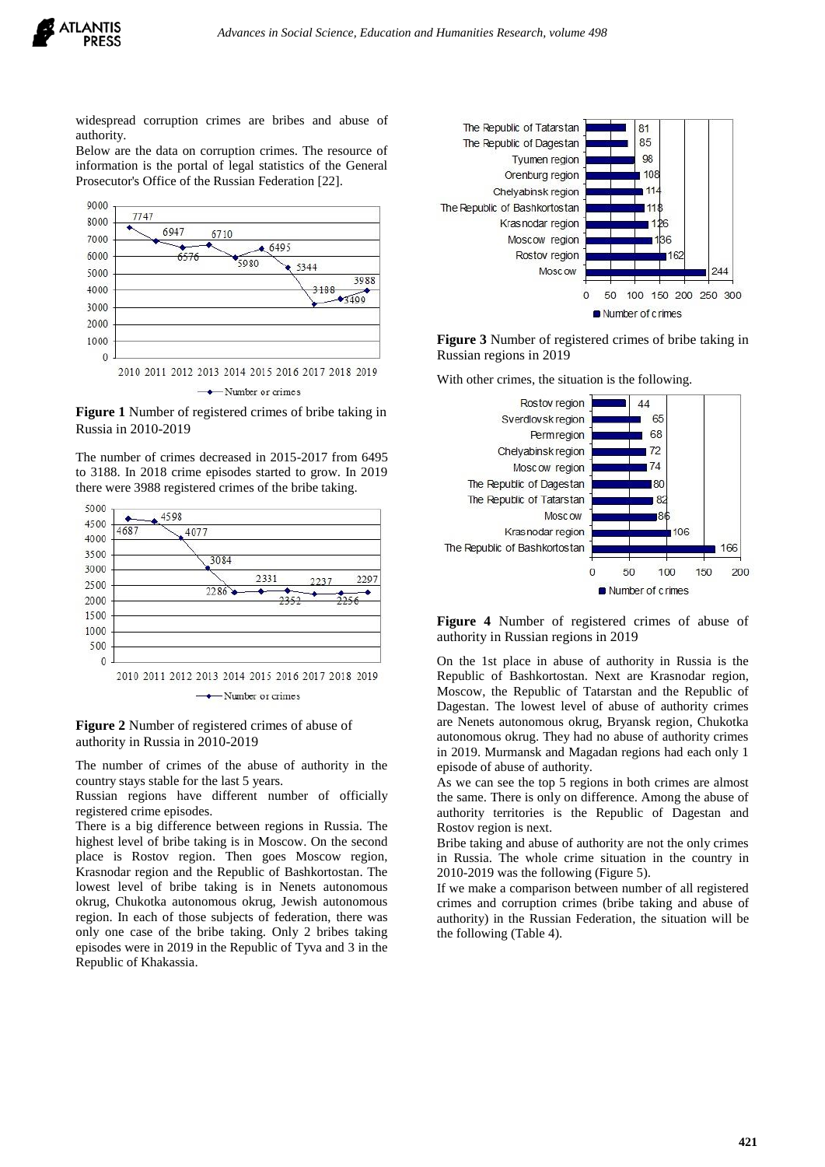

widespread corruption crimes are bribes and abuse of authority.

Below are the data on corruption crimes. The resource of information is the portal of legal statistics of the General Prosecutor's Office of the Russian Federation [22].



**Figure 1** Number of registered crimes of bribe taking in Russia in 2010-2019

The number of crimes decreased in 2015-2017 from 6495 to 3188. In 2018 crime episodes started to grow. In 2019 there were 3988 registered crimes of the bribe taking.



#### **Figure 2** Number of registered crimes of abuse of authority in Russia in 2010-2019

The number of crimes of the abuse of authority in the country stays stable for the last 5 years.

Russian regions have different number of officially registered crime episodes.

There is a big difference between regions in Russia. The highest level of bribe taking is in Moscow. On the second place is Rostov region. Then goes Moscow region, Krasnodar region and the Republic of Bashkortostan. The lowest level of bribe taking is in Nenets autonomous okrug, Chukotka autonomous okrug, Jewish autonomous region. In each of those subjects of federation, there was only one case of the bribe taking. Only 2 bribes taking episodes were in 2019 in the Republic of Tyva and 3 in the Republic of Khakassia.



**Figure 3** Number of registered crimes of bribe taking in Russian regions in 2019

With other crimes, the situation is the following.



**Figure 4** Number of registered crimes of abuse of authority in Russian regions in 2019

On the 1st place in abuse of authority in Russia is the Republic of Bashkortostan. Next are Krasnodar region, Moscow, the Republic of Tatarstan and the Republic of Dagestan. The lowest level of abuse of authority crimes are Nenets autonomous okrug, Bryansk region, Chukotka autonomous okrug. They had no abuse of authority crimes in 2019. Murmansk and Magadan regions had each only 1 episode of abuse of authority.

As we can see the top 5 regions in both crimes are almost the same. There is only on difference. Among the abuse of authority territories is the Republic of Dagestan and Rostov region is next.

Bribe taking and abuse of authority are not the only crimes in Russia. The whole crime situation in the country in 2010-2019 was the following (Figure 5).

If we make a comparison between number of all registered crimes and corruption crimes (bribe taking and abuse of authority) in the Russian Federation, the situation will be the following (Table 4).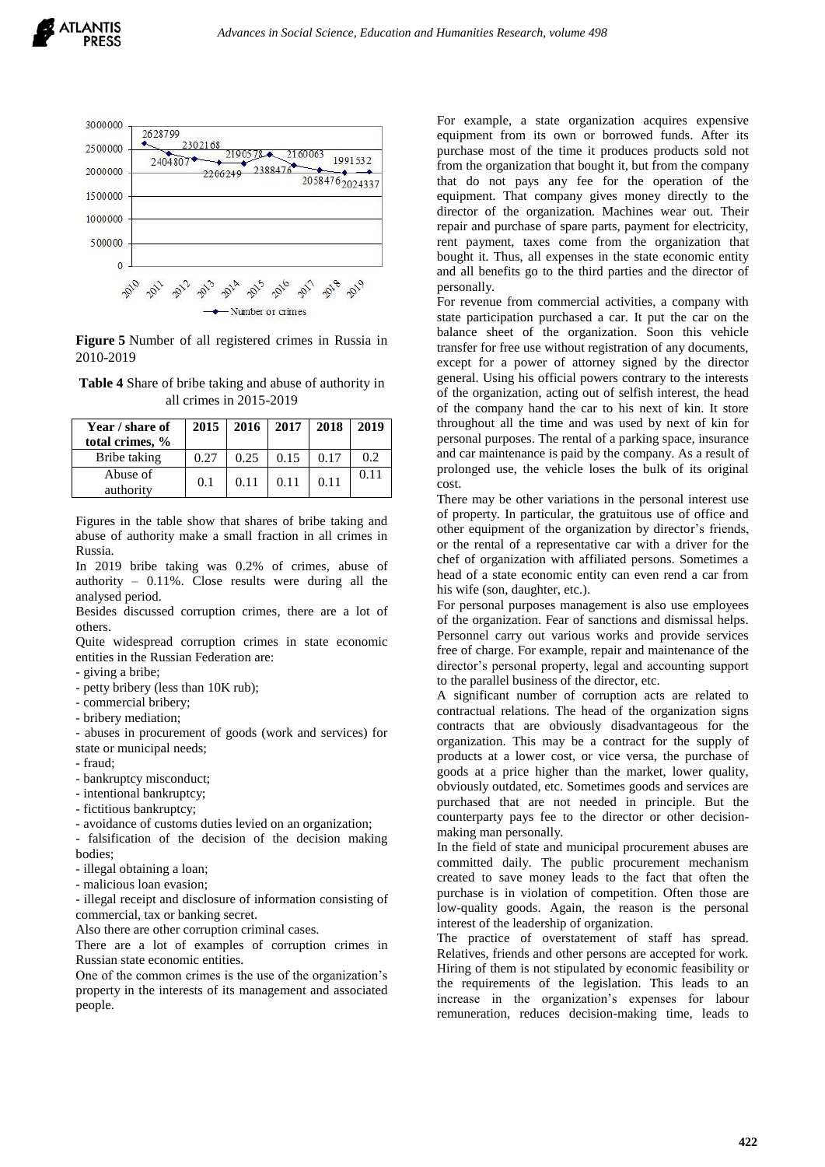

**Figure 5** Number of all registered crimes in Russia in 2010-2019

**Table 4** Share of bribe taking and abuse of authority in all crimes in 2015-2019

| Year / share of<br>total crimes, % | 2015 | <b>2016</b> | 2017 | 2018 | 2019 |
|------------------------------------|------|-------------|------|------|------|
| Bribe taking                       | 0.27 | 0.25        | 0.15 | 0.17 | 0.2  |
| Abuse of<br>authority              | 0.1  | 0.11        | 0.11 | 0.11 | 0.11 |

Figures in the table show that shares of bribe taking and abuse of authority make a small fraction in all crimes in Russia.

In 2019 bribe taking was 0.2% of crimes, abuse of authority – 0.11%. Close results were during all the analysed period.

Besides discussed corruption crimes, there are a lot of others.

Quite widespread corruption crimes in state economic entities in the Russian Federation are:

- giving a bribe;

- petty bribery (less than 10K rub);

- commercial bribery;

- bribery mediation;

- abuses in procurement of goods (work and services) for state or municipal needs;

- fraud;

- bankruptcy misconduct;
- intentional bankruptcy;

- fictitious bankruptcy;

- avoidance of customs duties levied on an organization;

- falsification of the decision of the decision making bodies;

- illegal obtaining a loan;

- malicious loan evasion;

- illegal receipt and disclosure of information consisting of commercial, tax or banking secret.

Also there are other corruption criminal cases.

There are a lot of examples of corruption crimes in Russian state economic entities.

One of the common crimes is the use of the organization's property in the interests of its management and associated people.

For example, a state organization acquires expensive equipment from its own or borrowed funds. After its purchase most of the time it produces products sold not from the organization that bought it, but from the company that do not pays any fee for the operation of the equipment. That company gives money directly to the director of the organization. Machines wear out. Their repair and purchase of spare parts, payment for electricity, rent payment, taxes come from the organization that bought it. Thus, all expenses in the state economic entity and all benefits go to the third parties and the director of personally.

For revenue from commercial activities, a company with state participation purchased a car. It put the car on the balance sheet of the organization. Soon this vehicle transfer for free use without registration of any documents, except for a power of attorney signed by the director general. Using his official powers contrary to the interests of the organization, acting out of selfish interest, the head of the company hand the car to his next of kin. It store throughout all the time and was used by next of kin for personal purposes. The rental of a parking space, insurance and car maintenance is paid by the company. As a result of prolonged use, the vehicle loses the bulk of its original cost.

There may be other variations in the personal interest use of property. In particular, the gratuitous use of office and other equipment of the organization by director's friends, or the rental of a representative car with a driver for the chef of organization with affiliated persons. Sometimes a head of a state economic entity can even rend a car from his wife (son, daughter, etc.).

For personal purposes management is also use employees of the organization. Fear of sanctions and dismissal helps. Personnel carry out various works and provide services free of charge. For example, repair and maintenance of the director's personal property, legal and accounting support to the parallel business of the director, etc.

A significant number of corruption acts are related to contractual relations. The head of the organization signs contracts that are obviously disadvantageous for the organization. This may be a contract for the supply of products at a lower cost, or vice versa, the purchase of goods at a price higher than the market, lower quality, obviously outdated, etc. Sometimes goods and services are purchased that are not needed in principle. But the counterparty pays fee to the director or other decisionmaking man personally.

In the field of state and municipal procurement abuses are committed daily. The public procurement mechanism created to save money leads to the fact that often the purchase is in violation of competition. Often those are low-quality goods. Again, the reason is the personal interest of the leadership of organization.

The practice of overstatement of staff has spread. Relatives, friends and other persons are accepted for work. Hiring of them is not stipulated by economic feasibility or the requirements of the legislation. This leads to an increase in the organization's expenses for labour remuneration, reduces decision-making time, leads to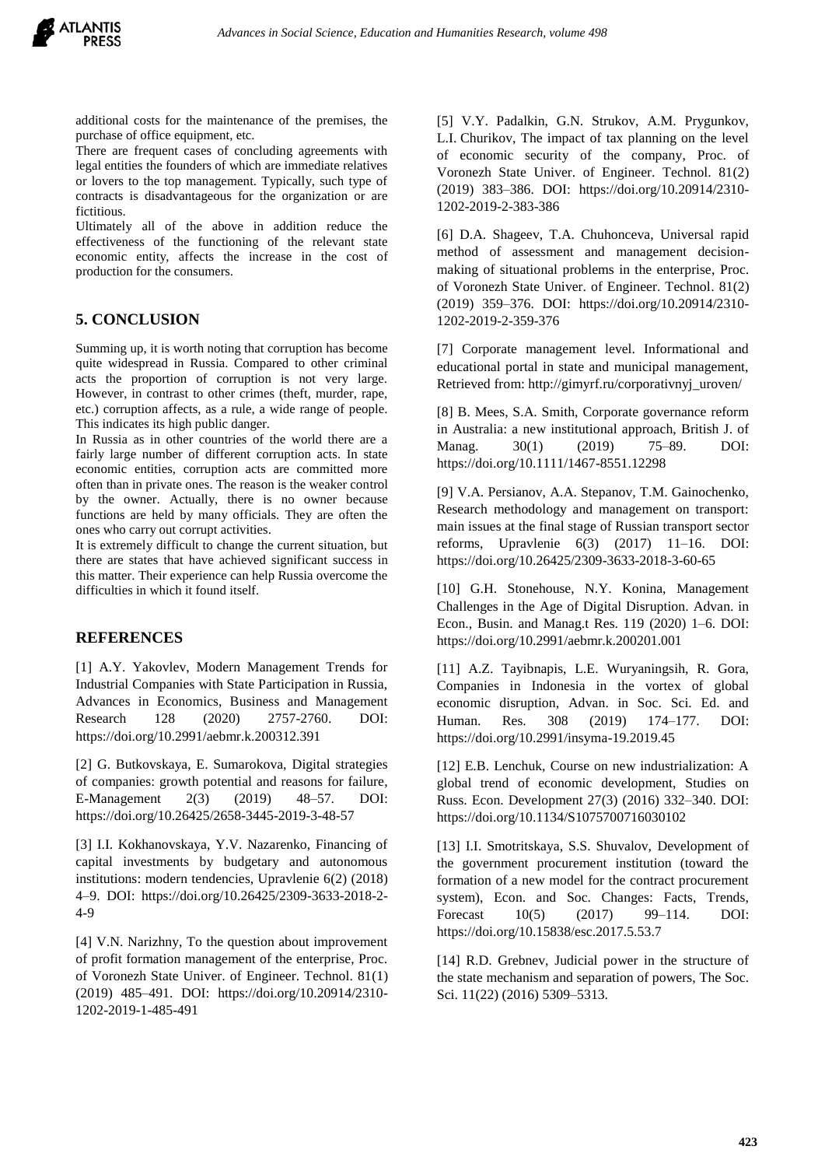

additional costs for the maintenance of the premises, the purchase of office equipment, etc.

There are frequent cases of concluding agreements with legal entities the founders of which are immediate relatives or lovers to the top management. Typically, such type of contracts is disadvantageous for the organization or are fictitious.

Ultimately all of the above in addition reduce the effectiveness of the functioning of the relevant state economic entity, affects the increase in the cost of production for the consumers.

# **5. CONCLUSION**

Summing up, it is worth noting that corruption has become quite widespread in Russia. Compared to other criminal acts the proportion of corruption is not very large. However, in contrast to other crimes (theft, murder, rape, etc.) corruption affects, as a rule, a wide range of people. This indicates its high public danger.

In Russia as in other countries of the world there are a fairly large number of different corruption acts. In state economic entities, corruption acts are committed more often than in private ones. The reason is the weaker control by the owner. Actually, there is no owner because functions are held by many officials. They are often the ones who carry out corrupt activities.

It is extremely difficult to change the current situation, but there are states that have achieved significant success in this matter. Their experience can help Russia overcome the difficulties in which it found itself.

#### **REFERENCES**

[1] A.Y. Yakovlev, Modern Management Trends for Industrial Companies with State Participation in Russia, Advances in Economics, Business and Management Research 128 (2020) 2757-2760. DOI: https://doi.org/10.2991/aebmr.k.200312.391

[2] G. Butkovskaya, E. Sumarokova, Digital strategies of companies: growth potential and reasons for failure, E-Management 2(3) (2019) 48–57. DOI: https://doi.org/10.26425/2658-3445-2019-3-48-57

[3] I.I. Kokhanovskaya, Y.V. Nazarenko, Financing of capital investments by budgetary and autonomous institutions: modern tendencies, Upravlenie 6(2) (2018) 4–9. DOI: https://doi.org/10.26425/2309-3633-2018-2- 4-9

[4] V.N. Narizhny, To the question about improvement of profit formation management of the enterprise, Proc. of Voronezh State Univer. of Engineer. Technol. 81(1) (2019) 485–491. DOI: https://doi.org/10.20914/2310- 1202-2019-1-485-491

[5] V.Y. Padalkin, G.N. Strukov, A.M. Prygunkov, L.I. Churikov, The impact of tax planning on the level of economic security of the company, Proc. of Voronezh State Univer. of Engineer. Technol. 81(2) (2019) 383–386. DOI: https://doi.org/10.20914/2310- 1202-2019-2-383-386

[6] D.A. Shageev, T.A. Chuhonceva, Universal rapid method of assessment and management decisionmaking of situational problems in the enterprise, Proc. of Voronezh State Univer. of Engineer. Technol. 81(2) (2019) 359–376. DOI: https://doi.org/10.20914/2310- 1202-2019-2-359-376

[7] Corporate management level. Informational and educational portal in state and municipal management, Retrieved from: http://gimyrf.ru/corporativnyj\_uroven/

[8] B. Mees, S.A. Smith, Corporate governance reform in Australia: a new institutional approach, British J. of Manag. 30(1) (2019) 75–89. DOI: https://doi.org/10.1111/1467-8551.12298

[9] V.A. Persianov, A.A. Stepanov, T.M. Gainochenko, Research methodology and management on transport: main issues at the final stage of Russian transport sector reforms, Upravlenie 6(3) (2017) 11–16. DOI: https://doi.org/10.26425/2309-3633-2018-3-60-65

[10] G.H. Stonehouse, N.Y. Konina, Management Challenges in the Age of Digital Disruption. Advan. in Econ., Busin. and Manag.t Res. 119 (2020) 1–6. DOI: https://doi.org/10.2991/aebmr.k.200201.001

[11] A.Z. Tayibnapis, L.E. Wuryaningsih, R. Gora, Companies in Indonesia in the vortex of global economic disruption, Advan. in Soc. Sci. Ed. and Human. Res. 308 (2019) 174–177. DOI: https://doi.org/10.2991/insyma-19.2019.45

[12] E.B. Lenchuk, Course on new industrialization: A global trend of economic development, Studies on Russ. Econ. Development 27(3) (2016) 332–340. DOI: https://doi.org/10.1134/S1075700716030102

[13] I.I. Smotritskaya, S.S. Shuvalov, Development of the government procurement institution (toward the formation of a new model for the contract procurement system), Econ. and Soc. Changes: Facts, Trends, Forecast 10(5) (2017) 99–114. DOI: https://doi.org/10.15838/esc.2017.5.53.7

[14] R.D. Grebnev, Judicial power in the structure of the state mechanism and separation of powers, The Soc. Sci. 11(22) (2016) 5309–5313.